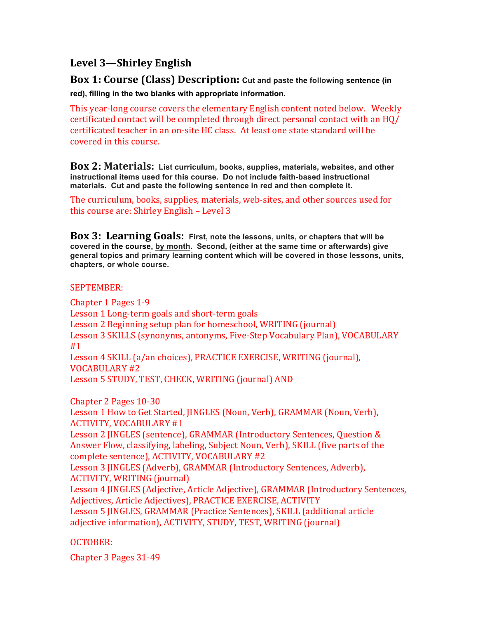# **Level 3—Shirley English**

**Box 1: Course (Class) Description:** Cut and paste the following sentence (in **red), filling in the two blanks with appropriate information.** 

This year-long course covers the elementary English content noted below. Weekly certificated contact will be completed through direct personal contact with an HQ/ certificated teacher in an on-site HC class. At least one state standard will be covered in this course.

**Box 2: Materials: List curriculum, books, supplies, materials, websites, and other instructional items used for this course. Do not include faith-based instructional materials. Cut and paste the following sentence in red and then complete it.**

The curriculum, books, supplies, materials, web-sites, and other sources used for this course are: Shirley English  $-$  Level 3

**Box 3: Learning Goals: First, note the lessons, units, or chapters that will be covered in the course, by month. Second, (either at the same time or afterwards) give general topics and primary learning content which will be covered in those lessons, units, chapters, or whole course.**

#### SEPTEMBER:

Chapter 1 Pages 1-9 Lesson 1 Long-term goals and short-term goals Lesson 2 Beginning setup plan for homeschool, WRITING (journal) Lesson 3 SKILLS (synonyms, antonyms, Five-Step Vocabulary Plan), VOCABULARY #1 Lesson 4 SKILL (a/an choices), PRACTICE EXERCISE, WRITING (journal), VOCABULARY #2 Lesson 5 STUDY, TEST, CHECK, WRITING (journal) AND

Chapter 2 Pages 10-30 Lesson 1 How to Get Started, JINGLES (Noun, Verb), GRAMMAR (Noun, Verb), ACTIVITY, VOCABULARY #1 Lesson 2 JINGLES (sentence), GRAMMAR (Introductory Sentences, Question & Answer Flow, classifying, labeling, Subject Noun, Verb), SKILL (five parts of the complete sentence), ACTIVITY, VOCABULARY #2 Lesson 3 JINGLES (Adverb), GRAMMAR (Introductory Sentences, Adverb), ACTIVITY, WRITING (journal) Lesson 4 JINGLES (Adjective, Article Adjective), GRAMMAR (Introductory Sentences, Adjectives, Article Adjectives), PRACTICE EXERCISE, ACTIVITY Lesson 5 JINGLES, GRAMMAR (Practice Sentences), SKILL (additional article adjective information), ACTIVITY, STUDY, TEST, WRITING (journal)

# OCTOBER:

Chapter 3 Pages 31-49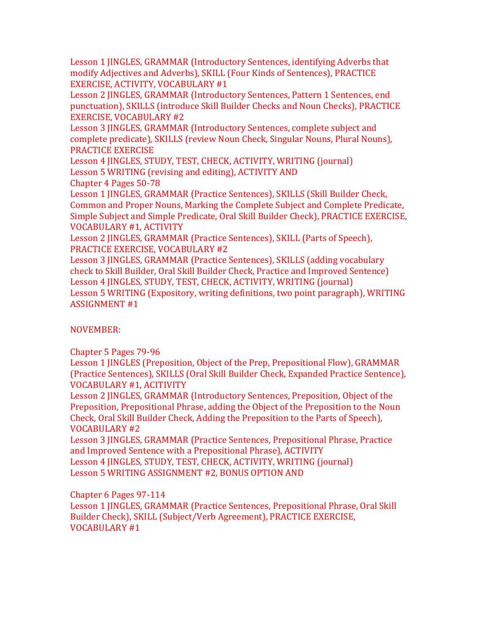Lesson 1 JINGLES, GRAMMAR (Introductory Sentences, identifying Adverbs that modify Adjectives and Adverbs), SKILL (Four Kinds of Sentences), PRACTICE EXERCISE, ACTIVITY, VOCABULARY #1

Lesson 2 JINGLES, GRAMMAR (Introductory Sentences, Pattern 1 Sentences, end punctuation), SKILLS (introduce Skill Builder Checks and Noun Checks), PRACTICE EXERCISE, VOCABULARY #2

Lesson 3 JINGLES, GRAMMAR (Introductory Sentences, complete subject and complete predicate), SKILLS (review Noun Check, Singular Nouns, Plural Nouns), PRACTICE EXERCISE

Lesson 4 JINGLES, STUDY, TEST, CHECK, ACTIVITY, WRITING (journal) Lesson 5 WRITING (revising and editing), ACTIVITY AND

Chapter 4 Pages 50-78

Lesson 1 JINGLES, GRAMMAR (Practice Sentences), SKILLS (Skill Builder Check, Common and Proper Nouns, Marking the Complete Subject and Complete Predicate, Simple Subject and Simple Predicate, Oral Skill Builder Check), PRACTICE EXERCISE, VOCABULARY #1, ACTIVITY 

Lesson 2 JINGLES, GRAMMAR (Practice Sentences), SKILL (Parts of Speech), PRACTICE EXERCISE, VOCABULARY #2

Lesson 3 JINGLES, GRAMMAR (Practice Sentences), SKILLS (adding vocabulary check to Skill Builder, Oral Skill Builder Check, Practice and Improved Sentence) Lesson 4 JINGLES, STUDY, TEST, CHECK, ACTIVITY, WRITING (journal) Lesson 5 WRITING (Expository, writing definitions, two point paragraph), WRITING ASSIGNMENT #1

# NOVEMBER:

Chapter 5 Pages 79-96 

Lesson 1 JINGLES (Preposition, Object of the Prep, Prepositional Flow), GRAMMAR (Practice Sentences), SKILLS (Oral Skill Builder Check, Expanded Practice Sentence), VOCABULARY #1, ACITIVITY

Lesson 2 JINGLES, GRAMMAR (Introductory Sentences, Preposition, Object of the Preposition, Prepositional Phrase, adding the Object of the Preposition to the Noun Check, Oral Skill Builder Check, Adding the Preposition to the Parts of Speech), VOCABULARY #2 

Lesson 3 JINGLES, GRAMMAR (Practice Sentences, Prepositional Phrase, Practice and Improved Sentence with a Prepositional Phrase), ACTIVITY Lesson 4 JINGLES, STUDY, TEST, CHECK, ACTIVITY, WRITING (journal)

Lesson 5 WRITING ASSIGNMENT #2, BONUS OPTION AND

Chapter 6 Pages 97-114

Lesson 1 *JINGLES*, GRAMMAR (Practice Sentences, Prepositional Phrase, Oral Skill Builder Check), SKILL (Subject/Verb Agreement), PRACTICE EXERCISE, VOCABULARY #1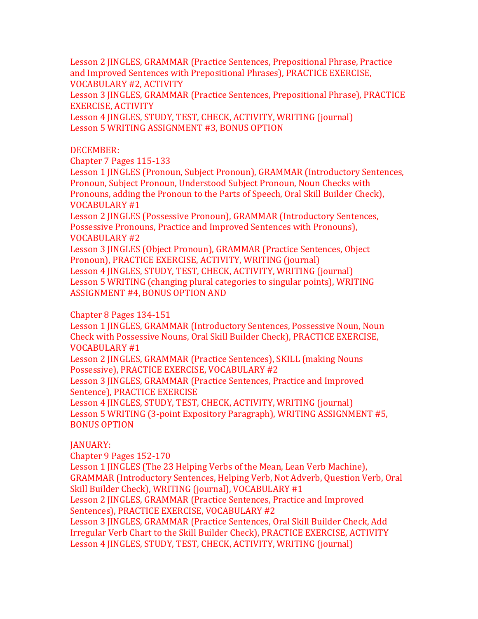Lesson 2 JINGLES, GRAMMAR (Practice Sentences, Prepositional Phrase, Practice and Improved Sentences with Prepositional Phrases), PRACTICE EXERCISE, VOCABULARY #2, ACTIVITY 

Lesson 3 JINGLES, GRAMMAR (Practice Sentences, Prepositional Phrase), PRACTICE EXERCISE, ACTIVITY

Lesson 4 JINGLES, STUDY, TEST, CHECK, ACTIVITY, WRITING (journal) Lesson 5 WRITING ASSIGNMENT #3, BONUS OPTION

#### DECEMBER:

Chapter 7 Pages 115-133 

Lesson 1 JINGLES (Pronoun, Subject Pronoun), GRAMMAR (Introductory Sentences, Pronoun, Subject Pronoun, Understood Subject Pronoun, Noun Checks with Pronouns, adding the Pronoun to the Parts of Speech, Oral Skill Builder Check), VOCABULARY #1 

Lesson 2 IINGLES (Possessive Pronoun), GRAMMAR (Introductory Sentences, Possessive Pronouns, Practice and Improved Sentences with Pronouns), VOCABULARY #2 

Lesson 3 JINGLES (Object Pronoun), GRAMMAR (Practice Sentences, Object Pronoun), PRACTICE EXERCISE, ACTIVITY, WRITING (journal) Lesson 4 JINGLES, STUDY, TEST, CHECK, ACTIVITY, WRITING (journal) Lesson 5 WRITING (changing plural categories to singular points), WRITING ASSIGNMENT #4, BONUS OPTION AND

# Chapter 8 Pages 134-151

Lesson 1 HNGLES, GRAMMAR (Introductory Sentences, Possessive Noun, Noun Check with Possessive Nouns, Oral Skill Builder Check), PRACTICE EXERCISE, VOCABULARY #1 

Lesson 2 JINGLES, GRAMMAR (Practice Sentences), SKILL (making Nouns Possessive), PRACTICE EXERCISE, VOCABULARY #2

Lesson 3 JINGLES, GRAMMAR (Practice Sentences, Practice and Improved Sentence), PRACTICE EXERCISE

Lesson 4 JINGLES, STUDY, TEST, CHECK, ACTIVITY, WRITING (journal) Lesson 5 WRITING (3-point Expository Paragraph), WRITING ASSIGNMENT #5, BONUS OPTION

# JANUARY:

Chapter 9 Pages 152-170

Lesson 1 JINGLES (The 23 Helping Verbs of the Mean, Lean Verb Machine), GRAMMAR (Introductory Sentences, Helping Verb, Not Adverb, Question Verb, Oral Skill Builder Check), WRITING (journal), VOCABULARY #1

Lesson 2 JINGLES, GRAMMAR (Practice Sentences, Practice and Improved Sentences), PRACTICE EXERCISE, VOCABULARY #2

Lesson 3 JINGLES, GRAMMAR (Practice Sentences, Oral Skill Builder Check, Add Irregular Verb Chart to the Skill Builder Check), PRACTICE EXERCISE, ACTIVITY Lesson 4 JINGLES, STUDY, TEST, CHECK, ACTIVITY, WRITING (journal)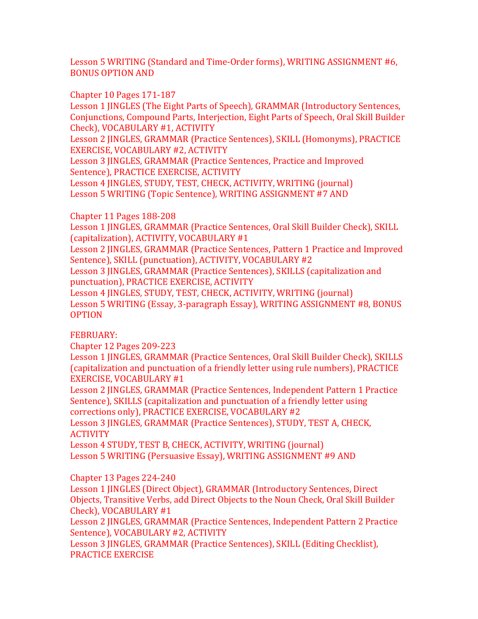Lesson 5 WRITING (Standard and Time-Order forms), WRITING ASSIGNMENT #6, **BONUS OPTION AND** 

Chapter 10 Pages 171-187

Lesson 1 JINGLES (The Eight Parts of Speech), GRAMMAR (Introductory Sentences, Conjunctions, Compound Parts, Interjection, Eight Parts of Speech, Oral Skill Builder Check), VOCABULARY #1, ACTIVITY

Lesson 2 IINGLES, GRAMMAR (Practice Sentences), SKILL (Homonyms), PRACTICE EXERCISE, VOCABULARY #2, ACTIVITY

Lesson 3 JINGLES, GRAMMAR (Practice Sentences, Practice and Improved Sentence), PRACTICE EXERCISE, ACTIVITY

Lesson 4 JINGLES, STUDY, TEST, CHECK, ACTIVITY, WRITING (journal) Lesson 5 WRITING (Topic Sentence), WRITING ASSIGNMENT #7 AND

Chapter 11 Pages 188-208 

Lesson 1 JINGLES, GRAMMAR (Practice Sentences, Oral Skill Builder Check), SKILL (capitalization), ACTIVITY, VOCABULARY #1

Lesson 2 JINGLES, GRAMMAR (Practice Sentences, Pattern 1 Practice and Improved Sentence), SKILL (punctuation), ACTIVITY, VOCABULARY #2

Lesson 3 JINGLES, GRAMMAR (Practice Sentences), SKILLS (capitalization and punctuation), PRACTICE EXERCISE, ACTIVITY

Lesson 4 JINGLES, STUDY, TEST, CHECK, ACTIVITY, WRITING (journal) Lesson 5 WRITING (Essay, 3-paragraph Essay), WRITING ASSIGNMENT #8, BONUS OPTION

FEBRUARY: 

Chapter 12 Pages 209-223 

Lesson 1 JINGLES, GRAMMAR (Practice Sentences, Oral Skill Builder Check), SKILLS (capitalization and punctuation of a friendly letter using rule numbers), PRACTICE EXERCISE, VOCABULARY #1

Lesson 2 JINGLES, GRAMMAR (Practice Sentences, Independent Pattern 1 Practice Sentence), SKILLS (capitalization and punctuation of a friendly letter using corrections only), PRACTICE EXERCISE, VOCABULARY #2

Lesson 3 JINGLES, GRAMMAR (Practice Sentences), STUDY, TEST A, CHECK, **ACTIVITY** 

Lesson 4 STUDY, TEST B, CHECK, ACTIVITY, WRITING (journal) Lesson 5 WRITING (Persuasive Essay), WRITING ASSIGNMENT #9 AND

Chapter 13 Pages 224-240

Lesson 1 **HNGLES** (Direct Object), GRAMMAR (Introductory Sentences, Direct Objects, Transitive Verbs, add Direct Objects to the Noun Check, Oral Skill Builder Check), VOCABULARY #1

Lesson 2 JINGLES, GRAMMAR (Practice Sentences, Independent Pattern 2 Practice Sentence), VOCABULARY #2, ACTIVITY

Lesson 3 JINGLES, GRAMMAR (Practice Sentences), SKILL (Editing Checklist), PRACTICE EXERCISE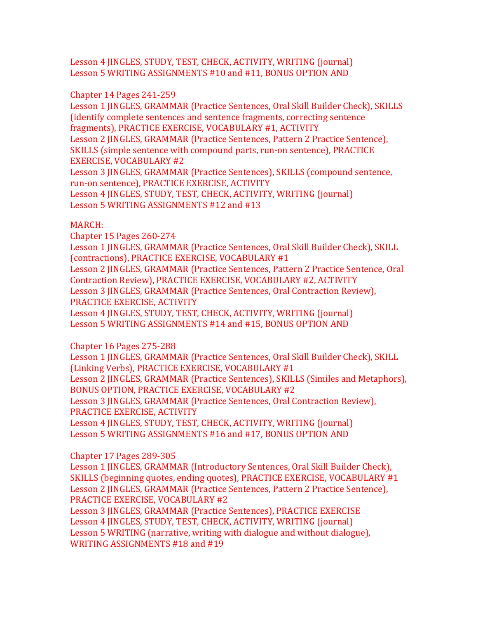Lesson 4 JINGLES, STUDY, TEST, CHECK, ACTIVITY, WRITING (journal) Lesson 5 WRITING ASSIGNMENTS #10 and #11, BONUS OPTION AND

Chapter 14 Pages 241-259

Lesson 1 JINGLES, GRAMMAR (Practice Sentences, Oral Skill Builder Check), SKILLS (identify complete sentences and sentence fragments, correcting sentence fragments), PRACTICE EXERCISE, VOCABULARY #1, ACTIVITY Lesson 2 JINGLES, GRAMMAR (Practice Sentences, Pattern 2 Practice Sentence), SKILLS (simple sentence with compound parts, run-on sentence), PRACTICE EXERCISE, VOCABULARY #2 Lesson 3 JINGLES, GRAMMAR (Practice Sentences), SKILLS (compound sentence, run-on sentence), PRACTICE EXERCISE, ACTIVITY Lesson 4 JINGLES, STUDY, TEST, CHECK, ACTIVITY, WRITING (journal) Lesson 5 WRITING ASSIGNMENTS #12 and #13

# MARCH:

Chapter 15 Pages 260-274

Lesson 1 JINGLES, GRAMMAR (Practice Sentences, Oral Skill Builder Check), SKILL (contractions), PRACTICE EXERCISE, VOCABULARY #1 Lesson 2 JINGLES, GRAMMAR (Practice Sentences, Pattern 2 Practice Sentence, Oral Contraction Review), PRACTICE EXERCISE, VOCABULARY #2, ACTIVITY Lesson 3 JINGLES, GRAMMAR (Practice Sentences, Oral Contraction Review), PRACTICE EXERCISE, ACTIVITY Lesson 4 JINGLES, STUDY, TEST, CHECK, ACTIVITY, WRITING (journal) Lesson 5 WRITING ASSIGNMENTS #14 and #15, BONUS OPTION AND

Chapter 16 Pages 275-288 

Lesson 1 JINGLES, GRAMMAR (Practice Sentences, Oral Skill Builder Check), SKILL (Linking Verbs), PRACTICE EXERCISE, VOCABULARY #1 Lesson 2 JINGLES, GRAMMAR (Practice Sentences), SKILLS (Similes and Metaphors), BONUS OPTION, PRACTICE EXERCISE, VOCABULARY #2 Lesson 3 JINGLES, GRAMMAR (Practice Sentences, Oral Contraction Review), PRACTICE EXERCISE, ACTIVITY Lesson 4 JINGLES, STUDY, TEST, CHECK, ACTIVITY, WRITING (journal) Lesson 5 WRITING ASSIGNMENTS #16 and #17, BONUS OPTION AND

Chapter 17 Pages 289-305 

Lesson 1 JINGLES, GRAMMAR (Introductory Sentences, Oral Skill Builder Check), SKILLS (beginning quotes, ending quotes), PRACTICE EXERCISE, VOCABULARY #1 Lesson 2 JINGLES, GRAMMAR (Practice Sentences, Pattern 2 Practice Sentence), PRACTICE EXERCISE, VOCABULARY #2

Lesson 3 JINGLES, GRAMMAR (Practice Sentences), PRACTICE EXERCISE Lesson 4 JINGLES, STUDY, TEST, CHECK, ACTIVITY, WRITING (journal) Lesson 5 WRITING (narrative, writing with dialogue and without dialogue), WRITING ASSIGNMENTS #18 and #19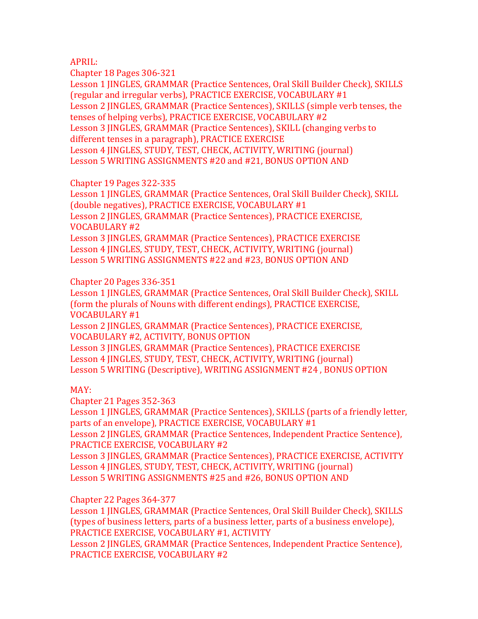#### APRIL:

Chapter 18 Pages 306-321

Lesson 1 JINGLES, GRAMMAR (Practice Sentences, Oral Skill Builder Check), SKILLS (regular and irregular verbs), PRACTICE EXERCISE, VOCABULARY #1 Lesson 2 JINGLES, GRAMMAR (Practice Sentences), SKILLS (simple verb tenses, the tenses of helping verbs), PRACTICE EXERCISE, VOCABULARY #2 Lesson 3 JINGLES, GRAMMAR (Practice Sentences), SKILL (changing verbs to different tenses in a paragraph), PRACTICE EXERCISE Lesson 4 JINGLES, STUDY, TEST, CHECK, ACTIVITY, WRITING (journal) Lesson 5 WRITING ASSIGNMENTS #20 and #21, BONUS OPTION AND

Chapter 19 Pages 322-335 

Lesson 1 JINGLES, GRAMMAR (Practice Sentences, Oral Skill Builder Check), SKILL (double negatives), PRACTICE EXERCISE, VOCABULARY #1 Lesson 2 IINGLES, GRAMMAR (Practice Sentences), PRACTICE EXERCISE, VOCABULARY #2 Lesson 3 JINGLES, GRAMMAR (Practice Sentences), PRACTICE EXERCISE Lesson 4 JINGLES, STUDY, TEST, CHECK, ACTIVITY, WRITING (journal) Lesson 5 WRITING ASSIGNMENTS #22 and #23, BONUS OPTION AND

Chapter 20 Pages 336-351 

Lesson 1 JINGLES, GRAMMAR (Practice Sentences, Oral Skill Builder Check), SKILL (form the plurals of Nouns with different endings), PRACTICE EXERCISE, VOCABULARY #1 Lesson 2 JINGLES, GRAMMAR (Practice Sentences), PRACTICE EXERCISE, VOCABULARY #2, ACTIVITY, BONUS OPTION Lesson 3 JINGLES, GRAMMAR (Practice Sentences), PRACTICE EXERCISE Lesson 4 JINGLES, STUDY, TEST, CHECK, ACTIVITY, WRITING (journal) Lesson 5 WRITING (Descriptive), WRITING ASSIGNMENT #24, BONUS OPTION

# MAY:

Chapter 21 Pages 352-363 

Lesson 1 JINGLES, GRAMMAR (Practice Sentences), SKILLS (parts of a friendly letter, parts of an envelope), PRACTICE EXERCISE, VOCABULARY #1 Lesson 2 JINGLES, GRAMMAR (Practice Sentences, Independent Practice Sentence), PRACTICE EXERCISE, VOCABULARY #2 Lesson 3 JINGLES, GRAMMAR (Practice Sentences), PRACTICE EXERCISE, ACTIVITY Lesson 4 JINGLES, STUDY, TEST, CHECK, ACTIVITY, WRITING (journal) Lesson 5 WRITING ASSIGNMENTS #25 and #26, BONUS OPTION AND

Chapter 22 Pages 364-377 

Lesson 1 JINGLES, GRAMMAR (Practice Sentences, Oral Skill Builder Check), SKILLS (types of business letters, parts of a business letter, parts of a business envelope), PRACTICE EXERCISE, VOCABULARY #1, ACTIVITY

Lesson 2 JINGLES, GRAMMAR (Practice Sentences, Independent Practice Sentence), PRACTICE EXERCISE, VOCABULARY #2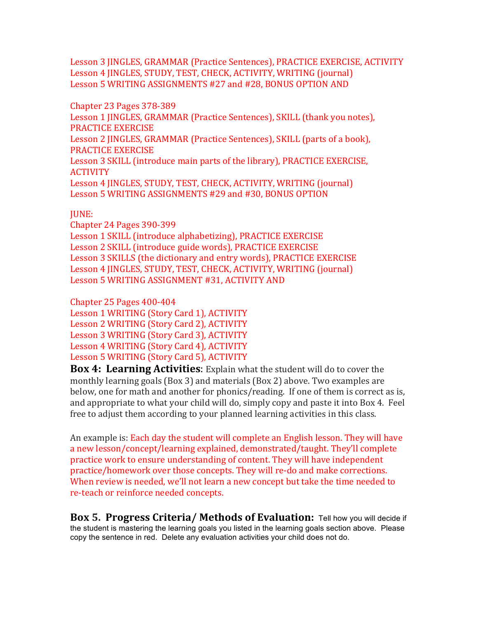Lesson 3 JINGLES, GRAMMAR (Practice Sentences), PRACTICE EXERCISE, ACTIVITY Lesson 4 JINGLES, STUDY, TEST, CHECK, ACTIVITY, WRITING (journal) Lesson 5 WRITING ASSIGNMENTS #27 and #28, BONUS OPTION AND

Chapter 23 Pages 378-389 Lesson 1 JINGLES, GRAMMAR (Practice Sentences), SKILL (thank you notes), PRACTICE EXERCISE Lesson 2 JINGLES, GRAMMAR (Practice Sentences), SKILL (parts of a book), PRACTICE EXERCISE Lesson 3 SKILL (introduce main parts of the library), PRACTICE EXERCISE, **ACTIVITY** Lesson 4 JINGLES, STUDY, TEST, CHECK, ACTIVITY, WRITING (journal) Lesson 5 WRITING ASSIGNMENTS #29 and #30, BONUS OPTION

#### JUNE:

Chapter 24 Pages 390-399 

Lesson 1 SKILL (introduce alphabetizing), PRACTICE EXERCISE Lesson 2 SKILL (introduce guide words), PRACTICE EXERCISE Lesson 3 SKILLS (the dictionary and entry words), PRACTICE EXERCISE Lesson 4 JINGLES, STUDY, TEST, CHECK, ACTIVITY, WRITING (journal) Lesson 5 WRITING ASSIGNMENT #31, ACTIVITY AND

Chapter 25 Pages 400-404 Lesson 1 WRITING (Story Card 1), ACTIVITY

Lesson 2 WRITING (Story Card 2), ACTIVITY Lesson 3 WRITING (Story Card 3), ACTIVITY Lesson 4 WRITING (Story Card 4), ACTIVITY Lesson 5 WRITING (Story Card 5), ACTIVITY

**Box 4: Learning Activities:** Explain what the student will do to cover the monthly learning goals  $(Box\ 3)$  and materials  $(Box\ 2)$  above. Two examples are below, one for math and another for phonics/reading. If one of them is correct as is, and appropriate to what your child will do, simply copy and paste it into Box 4. Feel free to adjust them according to your planned learning activities in this class.

An example is: Each day the student will complete an English lesson. They will have a new lesson/concept/learning explained, demonstrated/taught. They'll complete practice work to ensure understanding of content. They will have independent practice/homework over those concepts. They will re-do and make corrections. When review is needed, we'll not learn a new concept but take the time needed to re-teach or reinforce needed concepts.

**Box 5. Progress Criteria/ Methods of Evaluation:** Tell how you will decide if the student is mastering the learning goals you listed in the learning goals section above. Please copy the sentence in red. Delete any evaluation activities your child does not do.